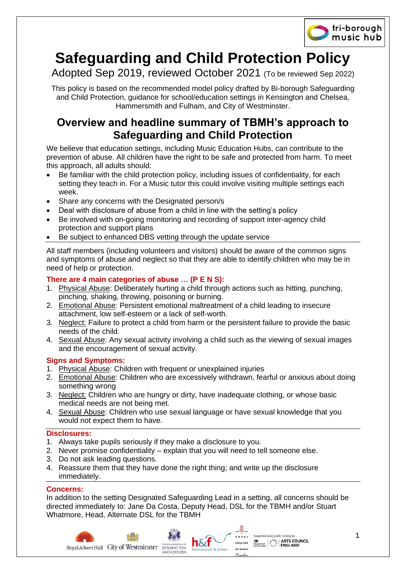

# **Safeguarding and Child Protection Policy**

Adopted Sep 2019, reviewed October 2021 (To be reviewed Sep 2022)

This policy is based on the recommended model policy drafted by Bi-borough Safeguarding and Child Protection, guidance for school/education settings in Kensington and Chelsea, Hammersmith and Fulham, and City of Westminster.

# **Overview and headline summary of TBMH's approach to Safeguarding and Child Protection**

We believe that education settings, including Music Education Hubs, can contribute to the prevention of abuse. All children have the right to be safe and protected from harm. To meet this approach, all adults should:

- Be familiar with the child protection policy, including issues of confidentiality, for each setting they teach in. For a Music tutor this could involve visiting multiple settings each week.
- Share any concerns with the Designated person/s
- Deal with disclosure of abuse from a child in line with the setting's policy
- Be involved with on-going monitoring and recording of support inter-agency child protection and support plans
- Be subject to enhanced DBS vetting through the update service

All staff members (including volunteers and visitors) should be aware of the common signs and symptoms of abuse and neglect so that they are able to identify children who may be in need of help or protection.

# **There are 4 main categories of abuse … (P E N S):**

- 1. Physical Abuse: Deliberately hurting a child through actions such as hitting, punching, pinching, shaking, throwing, poisoning or burning.
- 2. Emotional Abuse: Persistent emotional maltreatment of a child leading to insecure attachment, low self-esteem or a lack of self-worth.
- 3. Neglect: Failure to protect a child from harm or the persistent failure to provide the basic needs of the child.
- 4. Sexual Abuse: Any sexual activity involving a child such as the viewing of sexual images and the encouragement of sexual activity.

# **Signs and Symptoms:**

- 1. Physical Abuse: Children with frequent or unexplained injuries
- 2. Emotional Abuse: Children who are excessively withdrawn, fearful or anxious about doing something wrong
- 3. Neglect: Children who are hungry or dirty, have inadequate clothing, or whose basic medical needs are not being met.
- 4. Sexual Abuse: Children who use sexual language or have sexual knowledge that you would not expect them to have.

# **Disclosures:**

- 1. Always take pupils seriously if they make a disclosure to you.
- 2. Never promise confidentiality explain that you will need to tell someone else.
- 3. Do not ask leading questions.
- 4. Reassure them that they have done the right thing; and write up the disclosure immediately.

# **Concerns:**

In addition to the setting Designated Safeguarding Lead in a setting, all concerns should be directed immediately to: Jane Da Costa, Deputy Head, DSL for the TBMH and/or Stuart Whatmore, Head, Alternate DSL for the TBMH

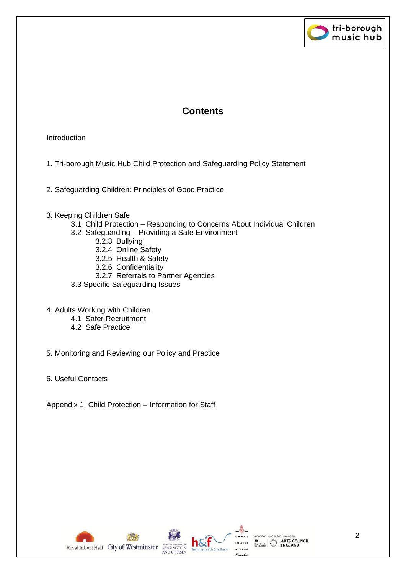

# **Contents**

# Introduction

- 1. Tri-borough Music Hub Child Protection and Safeguarding Policy Statement
- 2. Safeguarding Children: Principles of Good Practice
- 3. Keeping Children Safe
	- 3.1 Child Protection Responding to Concerns About Individual Children
	- 3.2 Safeguarding Providing a Safe Environment
		- 3.2.3 Bullying
			- 3.2.4 Online Safety
			- 3.2.5 Health & Safety
			- 3.2.6 Confidentiality
		- 3.2.7 Referrals to Partner Agencies
	- 3.3 Specific Safeguarding Issues
- 4. Adults Working with Children
	- 4.1 Safer Recruitment
		- 4.2 Safe Practice
- 5. Monitoring and Reviewing our Policy and Practice
- 6. Useful Contacts

Appendix 1: Child Protection – Information for Staff

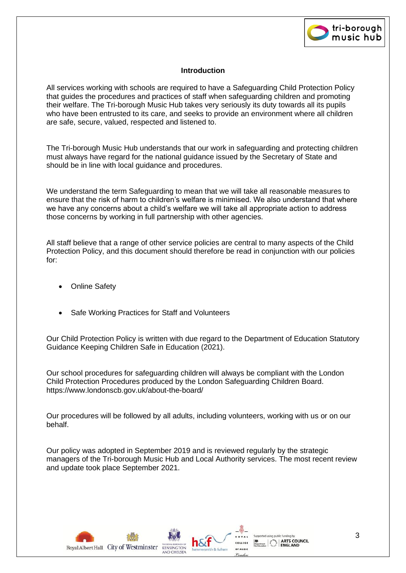

#### **Introduction**

All services working with schools are required to have a Safeguarding Child Protection Policy that guides the procedures and practices of staff when safeguarding children and promoting their welfare. The Tri-borough Music Hub takes very seriously its duty towards all its pupils who have been entrusted to its care, and seeks to provide an environment where all children are safe, secure, valued, respected and listened to.

The Tri-borough Music Hub understands that our work in safeguarding and protecting children must always have regard for the national guidance issued by the Secretary of State and should be in line with local guidance and procedures.

We understand the term Safeguarding to mean that we will take all reasonable measures to ensure that the risk of harm to children's welfare is minimised. We also understand that where we have any concerns about a child's welfare we will take all appropriate action to address those concerns by working in full partnership with other agencies.

All staff believe that a range of other service policies are central to many aspects of the Child Protection Policy, and this document should therefore be read in conjunction with our policies for:

- **Online Safety**
- Safe Working Practices for Staff and Volunteers

Our Child Protection Policy is written with due regard to the Department of Education Statutory Guidance Keeping Children Safe in Education (2021).

Our school procedures for safeguarding children will always be compliant with the London Child Protection Procedures produced by the London Safeguarding Children Board. https://www.londonscb.gov.uk/about-the-board/

Our procedures will be followed by all adults, including volunteers, working with us or on our behalf.

Our policy was adopted in September 2019 and is reviewed regularly by the strategic managers of the Tri-borough Music Hub and Local Authority services. The most recent review and update took place September 2021.

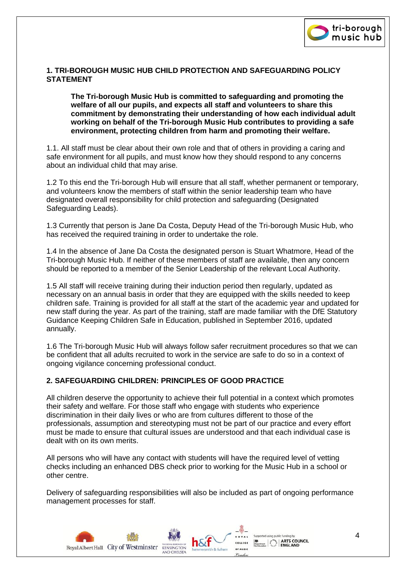

#### **1. TRI-BOROUGH MUSIC HUB CHILD PROTECTION AND SAFEGUARDING POLICY STATEMENT**

**The Tri-borough Music Hub is committed to safeguarding and promoting the welfare of all our pupils, and expects all staff and volunteers to share this commitment by demonstrating their understanding of how each individual adult working on behalf of the Tri-borough Music Hub contributes to providing a safe environment, protecting children from harm and promoting their welfare.**

1.1. All staff must be clear about their own role and that of others in providing a caring and safe environment for all pupils, and must know how they should respond to any concerns about an individual child that may arise.

1.2 To this end the Tri-borough Hub will ensure that all staff, whether permanent or temporary, and volunteers know the members of staff within the senior leadership team who have designated overall responsibility for child protection and safeguarding (Designated Safeguarding Leads).

1.3 Currently that person is Jane Da Costa, Deputy Head of the Tri-borough Music Hub, who has received the required training in order to undertake the role.

1.4 In the absence of Jane Da Costa the designated person is Stuart Whatmore, Head of the Tri-borough Music Hub. If neither of these members of staff are available, then any concern should be reported to a member of the Senior Leadership of the relevant Local Authority.

1.5 All staff will receive training during their induction period then regularly, updated as necessary on an annual basis in order that they are equipped with the skills needed to keep children safe. Training is provided for all staff at the start of the academic year and updated for new staff during the year. As part of the training, staff are made familiar with the DfE Statutory Guidance Keeping Children Safe in Education, published in September 2016, updated annually.

1.6 The Tri-borough Music Hub will always follow safer recruitment procedures so that we can be confident that all adults recruited to work in the service are safe to do so in a context of ongoing vigilance concerning professional conduct.

# **2. SAFEGUARDING CHILDREN: PRINCIPLES OF GOOD PRACTICE**

All children deserve the opportunity to achieve their full potential in a context which promotes their safety and welfare. For those staff who engage with students who experience discrimination in their daily lives or who are from cultures different to those of the professionals, assumption and stereotyping must not be part of our practice and every effort must be made to ensure that cultural issues are understood and that each individual case is dealt with on its own merits.

All persons who will have any contact with students will have the required level of vetting checks including an enhanced DBS check prior to working for the Music Hub in a school or other centre.

Delivery of safeguarding responsibilities will also be included as part of ongoing performance management processes for staff.

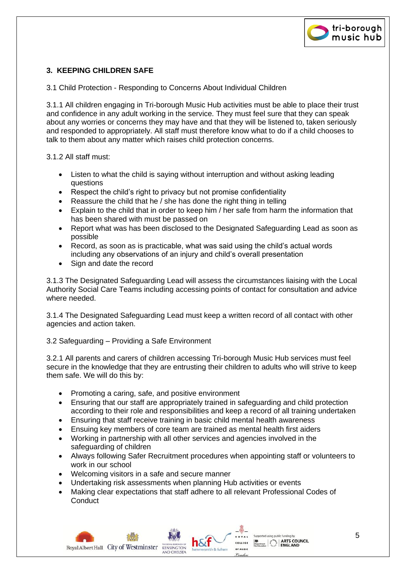

# **3. KEEPING CHILDREN SAFE**

3.1 Child Protection - Responding to Concerns About Individual Children

3.1.1 All children engaging in Tri-borough Music Hub activities must be able to place their trust and confidence in any adult working in the service. They must feel sure that they can speak about any worries or concerns they may have and that they will be listened to, taken seriously and responded to appropriately. All staff must therefore know what to do if a child chooses to talk to them about any matter which raises child protection concerns.

3.1.2 All staff must:

- Listen to what the child is saying without interruption and without asking leading questions
- Respect the child's right to privacy but not promise confidentiality
- Reassure the child that he / she has done the right thing in telling
- Explain to the child that in order to keep him / her safe from harm the information that has been shared with must be passed on
- Report what was has been disclosed to the Designated Safeguarding Lead as soon as possible
- Record, as soon as is practicable, what was said using the child's actual words including any observations of an injury and child's overall presentation
- Sign and date the record

3.1.3 The Designated Safeguarding Lead will assess the circumstances liaising with the Local Authority Social Care Teams including accessing points of contact for consultation and advice where needed.

3.1.4 The Designated Safeguarding Lead must keep a written record of all contact with other agencies and action taken.

# 3.2 Safeguarding – Providing a Safe Environment

3.2.1 All parents and carers of children accessing Tri-borough Music Hub services must feel secure in the knowledge that they are entrusting their children to adults who will strive to keep them safe. We will do this by:

- Promoting a caring, safe, and positive environment
- Ensuring that our staff are appropriately trained in safeguarding and child protection according to their role and responsibilities and keep a record of all training undertaken
- Ensuring that staff receive training in basic child mental health awareness
- Ensuing key members of core team are trained as mental health first aiders
- Working in partnership with all other services and agencies involved in the safeguarding of children
- Always following Safer Recruitment procedures when appointing staff or volunteers to work in our school
- Welcoming visitors in a safe and secure manner
- Undertaking risk assessments when planning Hub activities or events
- Making clear expectations that staff adhere to all relevant Professional Codes of **Conduct**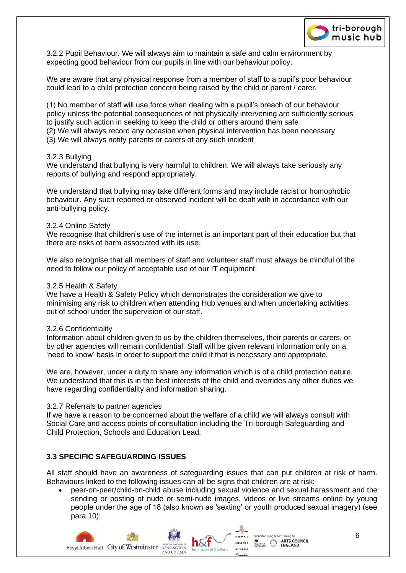

3.2.2 Pupil Behaviour. We will always aim to maintain a safe and calm environment by expecting good behaviour from our pupils in line with our behaviour policy.

We are aware that any physical response from a member of staff to a pupil's poor behaviour could lead to a child protection concern being raised by the child or parent / carer.

(1) No member of staff will use force when dealing with a pupil's breach of our behaviour policy unless the potential consequences of not physically intervening are sufficiently serious to justify such action in seeking to keep the child or others around them safe (2) We will always record any occasion when physical intervention has been necessary (3) We will always notify parents or carers of any such incident

#### 3.2.3 Bullying

We understand that bullying is very harmful to children. We will always take seriously any reports of bullying and respond appropriately.

We understand that bullying may take different forms and may include racist or homophobic behaviour. Any such reported or observed incident will be dealt with in accordance with our anti-bullying policy.

#### 3.2.4 Online Safety

We recognise that children's use of the internet is an important part of their education but that there are risks of harm associated with its use.

We also recognise that all members of staff and volunteer staff must always be mindful of the need to follow our policy of acceptable use of our IT equipment.

#### 3.2.5 Health & Safety

We have a Health & Safety Policy which demonstrates the consideration we give to minimising any risk to children when attending Hub venues and when undertaking activities out of school under the supervision of our staff.

#### 3.2.6 Confidentiality

Information about children given to us by the children themselves, their parents or carers, or by other agencies will remain confidential. Staff will be given relevant information only on a 'need to know' basis in order to support the child if that is necessary and appropriate.

We are, however, under a duty to share any information which is of a child protection nature. We understand that this is in the best interests of the child and overrides any other duties we have regarding confidentiality and information sharing.

#### 3.2.7 Referrals to partner agencies

If we have a reason to be concerned about the welfare of a child we will always consult with Social Care and access points of consultation including the Tri-borough Safeguarding and Child Protection, Schools and Education Lead.

#### **3.3 SPECIFIC SAFEGUARDING ISSUES**

All staff should have an awareness of safeguarding issues that can put children at risk of harm. Behaviours linked to the following issues can all be signs that children are at risk:

• peer-on-peer/child-on-child abuse including sexual violence and sexual harassment and the sending or posting of nude or semi-nude images, videos or live streams online by young people under the age of 18 (also known as 'sexting' or youth produced sexual imagery) (see para 10);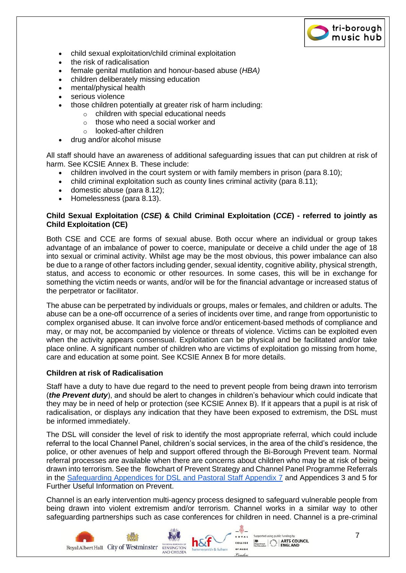

- child sexual exploitation/child criminal exploitation
- the risk of radicalisation
- female genital mutilation and honour-based abuse (*HBA)*
- children deliberately missing education
- mental/physical health
- serious violence
- those children potentially at greater risk of harm including:
	- o children with special educational needs
	- o those who need a social worker and
	- o looked-after children
- drug and/or alcohol misuse

All staff should have an awareness of additional safeguarding issues that can put children at risk of harm. See KCSIE Annex B. These include:

- children involved in the court system or with family members in prison (para 8.10);
- child criminal exploitation such as county lines criminal activity (para 8.11);
- domestic abuse (para 8.12);
- Homelessness (para 8.13).

# **Child Sexual Exploitation (***CSE***) & Child Criminal Exploitation (***CCE***) - referred to jointly as Child Exploitation (CE)**

Both CSE and CCE are forms of sexual abuse. Both occur where an individual or group takes advantage of an imbalance of power to coerce, manipulate or deceive a child under the age of 18 into sexual or criminal activity. Whilst age may be the most obvious, this power imbalance can also be due to a range of other factors including gender, sexual identity, cognitive ability, physical strength, status, and access to economic or other resources. In some cases, this will be in exchange for something the victim needs or wants, and/or will be for the financial advantage or increased status of the perpetrator or facilitator.

The abuse can be perpetrated by individuals or groups, males or females, and children or adults. The abuse can be a one-off occurrence of a series of incidents over time, and range from opportunistic to complex organised abuse. It can involve force and/or enticement-based methods of compliance and may, or may not, be accompanied by violence or threats of violence. Victims can be exploited even when the activity appears consensual. Exploitation can be physical and be facilitated and/or take place online. A significant number of children who are victims of exploitation go missing from home, care and education at some point. See KCSIE Annex B for more details.

#### **Children at risk of Radicalisation**

Staff have a duty to have due regard to the need to prevent people from being drawn into terrorism (*the Prevent duty*), and should be alert to changes in children's behaviour which could indicate that they may be in need of help or protection (see KCSIE Annex B). If it appears that a pupil is at risk of radicalisation, or displays any indication that they have been exposed to extremism, the DSL must be informed immediately.

The DSL will consider the level of risk to identify the most appropriate referral, which could include referral to the local Channel Panel, children's social services, in the area of the child's residence, the police, or other avenues of help and support offered through the Bi-Borough Prevent team. Normal referral processes are available when there are concerns about children who may be at risk of being drawn into terrorism. See the flowchart of Prevent Strategy and Channel Panel Programme Referrals in the [Safeguarding Appendices for DSL and Pastoral Staff Appendix 7](https://docs.google.com/document/d/19dAQ3YxDznSl_Vs4CEQGxj4TarRzEC6CFdt6MydR2Os/edit?usp=sharing) and Appendices 3 and 5 for Further Useful Information on Prevent.

Channel is an early intervention multi-agency process designed to safeguard vulnerable people from being drawn into violent extremism and/or terrorism. Channel works in a similar way to other safeguarding partnerships such as case conferences for children in need. Channel is a pre-criminal

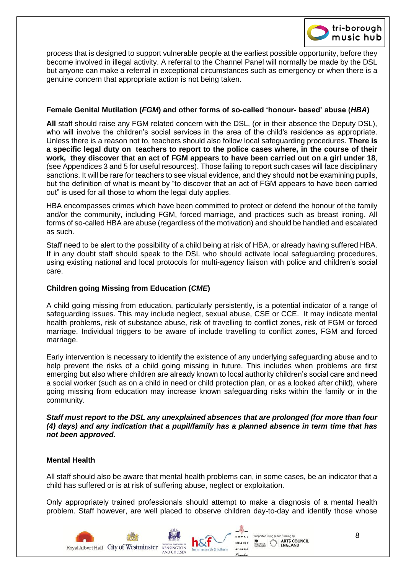

process that is designed to support vulnerable people at the earliest possible opportunity, before they become involved in illegal activity. A referral to the Channel Panel will normally be made by the DSL but anyone can make a referral in exceptional circumstances such as emergency or when there is a genuine concern that appropriate action is not being taken.

#### **Female Genital Mutilation (***FGM***) and other forms of so-called 'honour- based' abuse (***HBA***)**

**All** staff should raise any FGM related concern with the DSL, (or in their absence the Deputy DSL), who will involve the children's social services in the area of the child's residence as appropriate. Unless there is a reason not to, teachers should also follow local safeguarding procedures. **There is a specific legal duty on teachers to report to the police cases where, in the course of their work, they discover that an act of FGM appears to have been carried out on a girl under 18**, (see Appendices 3 and 5 for useful resources). Those failing to report such cases will face disciplinary sanctions. It will be rare for teachers to see visual evidence, and they should **not** be examining pupils, but the definition of what is meant by "to discover that an act of FGM appears to have been carried out" is used for all those to whom the legal duty applies.

HBA encompasses crimes which have been committed to protect or defend the honour of the family and/or the community, including FGM, forced marriage, and practices such as breast ironing. All forms of so-called HBA are abuse (regardless of the motivation) and should be handled and escalated as such.

Staff need to be alert to the possibility of a child being at risk of HBA, or already having suffered HBA. If in any doubt staff should speak to the DSL who should activate local safeguarding procedures, using existing national and local protocols for multi-agency liaison with police and children's social care.

#### **Children going Missing from Education (***CME***)**

A child going missing from education, particularly persistently, is a potential indicator of a range of safeguarding issues. This may include neglect, sexual abuse, CSE or CCE. It may indicate mental health problems, risk of substance abuse, risk of travelling to conflict zones, risk of FGM or forced marriage. Individual triggers to be aware of include travelling to conflict zones, FGM and forced marriage.

Early intervention is necessary to identify the existence of any underlying safeguarding abuse and to help prevent the risks of a child going missing in future. This includes when problems are first emerging but also where children are already known to local authority children's social care and need a social worker (such as on a child in need or child protection plan, or as a looked after child), where going missing from education may increase known safeguarding risks within the family or in the community.

#### *Staff must report to the DSL any unexplained absences that are prolonged (for more than four (4) days) and any indication that a pupil/family has a planned absence in term time that has not been approved.*

#### **Mental Health**

All staff should also be aware that mental health problems can, in some cases, be an indicator that a child has suffered or is at risk of suffering abuse, neglect or exploitation.

Only appropriately trained professionals should attempt to make a diagnosis of a mental health problem. Staff however, are well placed to observe children day-to-day and identify those whose

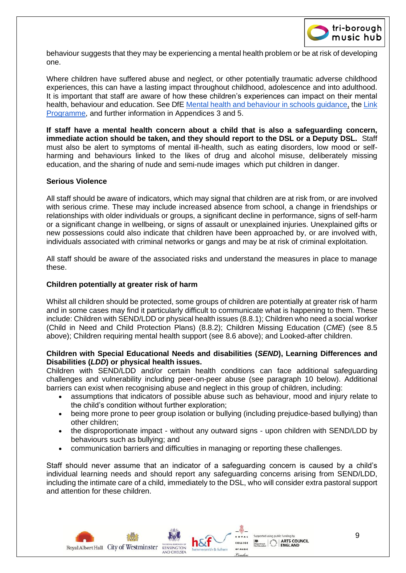

behaviour suggests that they may be experiencing a mental health problem or be at risk of developing one.

Where children have suffered abuse and neglect, or other potentially traumatic adverse childhood experiences, this can have a lasting impact throughout childhood, adolescence and into adulthood. It is important that staff are aware of how these children's experiences can impact on their mental health, behaviour and education. See DfE [Mental health and behaviour in schools guidance,](https://www.gov.uk/government/publications/mental-health-and-behaviour-in-schools--2) the [Link](https://www.gov.uk/government/news/national-mental-health-programme-between-schools-and-nhs)  [Programme,](https://www.gov.uk/government/news/national-mental-health-programme-between-schools-and-nhs) and further information in Appendices 3 and 5.

**If staff have a mental health concern about a child that is also a safeguarding concern, immediate action should be taken, and they should report to the DSL or a Deputy DSL.** Staff must also be alert to symptoms of mental ill-health, such as eating disorders, low mood or selfharming and behaviours linked to the likes of drug and alcohol misuse, deliberately missing education, and the sharing of nude and semi-nude images which put children in danger.

#### **Serious Violence**

All staff should be aware of indicators, which may signal that children are at risk from, or are involved with serious crime. These may include increased absence from school, a change in friendships or relationships with older individuals or groups, a significant decline in performance, signs of self-harm or a significant change in wellbeing, or signs of assault or unexplained injuries. Unexplained gifts or new possessions could also indicate that children have been approached by, or are involved with, individuals associated with criminal networks or gangs and may be at risk of criminal exploitation.

All staff should be aware of the associated risks and understand the measures in place to manage these.

#### **Children potentially at greater risk of harm**

Whilst all children should be protected, some groups of children are potentially at greater risk of harm and in some cases may find it particularly difficult to communicate what is happening to them. These include: Children with SEND/LDD or physical health issues (8.8.1); Children who need a social worker (Child in Need and Child Protection Plans) (8.8.2); Children Missing Education (*CME*) (see 8.5 above); Children requiring mental health support (see 8.6 above); and Looked-after children.

#### **Children with Special Educational Needs and disabilities (***SEND***), Learning Differences and Disabilities (***LDD***) or physical health issues.**

Children with SEND/LDD and/or certain health conditions can face additional safeguarding challenges and vulnerability including peer-on-peer abuse (see paragraph 10 below). Additional barriers can exist when recognising abuse and neglect in this group of children, including:

- assumptions that indicators of possible abuse such as behaviour, mood and injury relate to the child's condition without further exploration;
- being more prone to peer group isolation or bullying (including prejudice-based bullying) than other children;
- the disproportionate impact without any outward signs upon children with SEND/LDD by behaviours such as bullying; and
- communication barriers and difficulties in managing or reporting these challenges.

Staff should never assume that an indicator of a safeguarding concern is caused by a child's individual learning needs and should report any safeguarding concerns arising from SEND/LDD, including the intimate care of a child, immediately to the DSL, who will consider extra pastoral support and attention for these children.

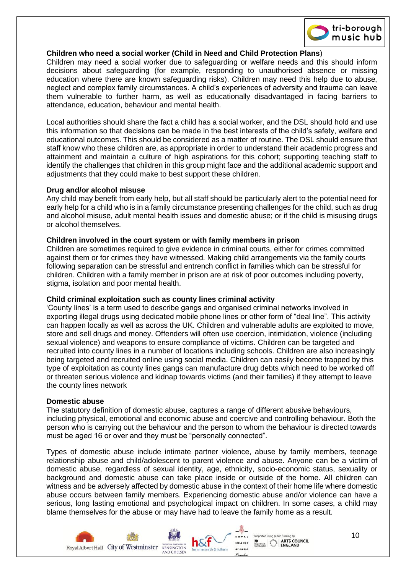

# **Children who need a social worker (Child in Need and Child Protection Plans**)

Children may need a social worker due to safeguarding or welfare needs and this should inform decisions about safeguarding (for example, responding to unauthorised absence or missing education where there are known safeguarding risks). Children may need this help due to abuse, neglect and complex family circumstances. A child's experiences of adversity and trauma can leave them vulnerable to further harm, as well as educationally disadvantaged in facing barriers to attendance, education, behaviour and mental health.

Local authorities should share the fact a child has a social worker, and the DSL should hold and use this information so that decisions can be made in the best interests of the child's safety, welfare and educational outcomes. This should be considered as a matter of routine. The DSL should ensure that staff know who these children are, as appropriate in order to understand their academic progress and attainment and maintain a culture of high aspirations for this cohort; supporting teaching staff to identify the challenges that children in this group might face and the additional academic support and adjustments that they could make to best support these children.

#### **Drug and/or alcohol misuse**

Any child may benefit from early help, but all staff should be particularly alert to the potential need for early help for a child who is in a family circumstance presenting challenges for the child, such as drug and alcohol misuse, adult mental health issues and domestic abuse; or if the child is misusing drugs or alcohol themselves.

#### **Children involved in the court system or with family members in prison**

Children are sometimes required to give evidence in criminal courts, either for crimes committed against them or for crimes they have witnessed. Making child arrangements via the family courts following separation can be stressful and entrench conflict in families which can be stressful for children. Children with a family member in prison are at risk of poor outcomes including poverty, stigma, isolation and poor mental health.

#### **Child criminal exploitation such as county lines criminal activity**

'County lines' is a term used to describe gangs and organised criminal networks involved in exporting illegal drugs using dedicated mobile phone lines or other form of "deal line". This activity can happen locally as well as across the UK. Children and vulnerable adults are exploited to move, store and sell drugs and money. Offenders will often use coercion, intimidation, violence (including sexual violence) and weapons to ensure compliance of victims. Children can be targeted and recruited into county lines in a number of locations including schools. Children are also increasingly being targeted and recruited online using social media. Children can easily become trapped by this type of exploitation as county lines gangs can manufacture drug debts which need to be worked off or threaten serious violence and kidnap towards victims (and their families) if they attempt to leave the county lines network

#### **Domestic abuse**

The statutory definition of domestic abuse, captures a range of different abusive behaviours, including physical, emotional and economic abuse and coercive and controlling behaviour. Both the person who is carrying out the behaviour and the person to whom the behaviour is directed towards must be aged 16 or over and they must be "personally connected".

Types of domestic abuse include intimate partner violence, abuse by family members, teenage relationship abuse and child/adolescent to parent violence and abuse. Anyone can be a victim of domestic abuse, regardless of sexual identity, age, ethnicity, socio-economic status, sexuality or background and domestic abuse can take place inside or outside of the home. All children can witness and be adversely affected by domestic abuse in the context of their home life where domestic abuse occurs between family members. Experiencing domestic abuse and/or violence can have a serious, long lasting emotional and psychological impact on children. In some cases, a child may blame themselves for the abuse or may have had to leave the family home as a result.

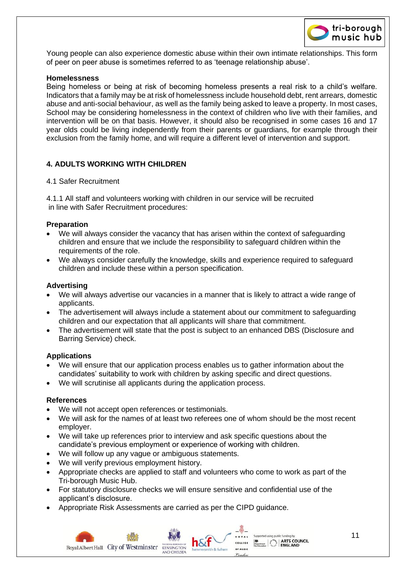

Young people can also experience domestic abuse within their own intimate relationships. This form of peer on peer abuse is sometimes referred to as 'teenage relationship abuse'.

#### **Homelessness**

Being homeless or being at risk of becoming homeless presents a real risk to a child's welfare. Indicators that a family may be at risk of homelessness include household debt, rent arrears, domestic abuse and anti-social behaviour, as well as the family being asked to leave a property. In most cases, School may be considering homelessness in the context of children who live with their families, and intervention will be on that basis. However, it should also be recognised in some cases 16 and 17 year olds could be living independently from their parents or guardians, for example through their exclusion from the family home, and will require a different level of intervention and support.

# **4. ADULTS WORKING WITH CHILDREN**

#### 4.1 Safer Recruitment

4.1.1 All staff and volunteers working with children in our service will be recruited in line with Safer Recruitment procedures:

#### **Preparation**

- We will always consider the vacancy that has arisen within the context of safeguarding children and ensure that we include the responsibility to safeguard children within the requirements of the role.
- We always consider carefully the knowledge, skills and experience required to safeguard children and include these within a person specification.

#### **Advertising**

- We will always advertise our vacancies in a manner that is likely to attract a wide range of applicants.
- The advertisement will always include a statement about our commitment to safeguarding children and our expectation that all applicants will share that commitment.
- The advertisement will state that the post is subject to an enhanced DBS (Disclosure and Barring Service) check.

#### **Applications**

- We will ensure that our application process enables us to gather information about the candidates' suitability to work with children by asking specific and direct questions.
- We will scrutinise all applicants during the application process.

#### **References**

- We will not accept open references or testimonials.
- We will ask for the names of at least two referees one of whom should be the most recent employer.
- We will take up references prior to interview and ask specific questions about the candidate's previous employment or experience of working with children.
- We will follow up any vague or ambiguous statements.
- We will verify previous employment history.
- Appropriate checks are applied to staff and volunteers who come to work as part of the Tri-borough Music Hub.
- For statutory disclosure checks we will ensure sensitive and confidential use of the applicant's disclosure.
- Appropriate Risk Assessments are carried as per the CIPD guidance.

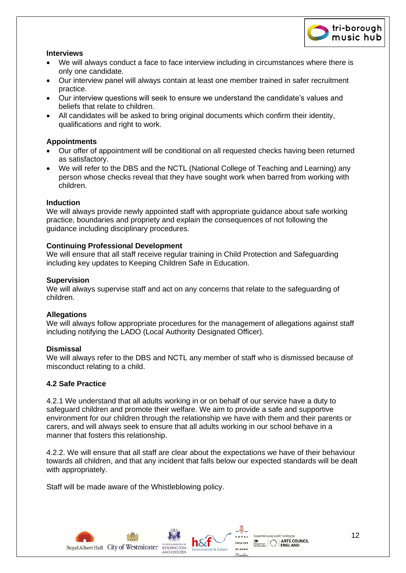

#### **Interviews**

- We will always conduct a face to face interview including in circumstances where there is only one candidate.
- Our interview panel will always contain at least one member trained in safer recruitment practice.
- Our interview questions will seek to ensure we understand the candidate's values and beliefs that relate to children.
- All candidates will be asked to bring original documents which confirm their identity, qualifications and right to work.

# **Appointments**

- Our offer of appointment will be conditional on all requested checks having been returned as satisfactory.
- We will refer to the DBS and the NCTL (National College of Teaching and Learning) any person whose checks reveal that they have sought work when barred from working with children.

# **Induction**

We will always provide newly appointed staff with appropriate guidance about safe working practice, boundaries and propriety and explain the consequences of not following the guidance including disciplinary procedures.

# **Continuing Professional Development**

We will ensure that all staff receive regular training in Child Protection and Safeguarding including key updates to Keeping Children Safe in Education.

#### **Supervision**

We will always supervise staff and act on any concerns that relate to the safeguarding of children.

# **Allegations**

We will always follow appropriate procedures for the management of allegations against staff including notifying the LADO (Local Authority Designated Officer).

# **Dismissal**

We will always refer to the DBS and NCTL any member of staff who is dismissed because of misconduct relating to a child.

# **4.2 Safe Practice**

4.2.1 We understand that all adults working in or on behalf of our service have a duty to safeguard children and promote their welfare. We aim to provide a safe and supportive environment for our children through the relationship we have with them and their parents or carers, and will always seek to ensure that all adults working in our school behave in a manner that fosters this relationship.

4.2.2. We will ensure that all staff are clear about the expectations we have of their behaviour towards all children, and that any incident that falls below our expected standards will be dealt with appropriately.

Staff will be made aware of the Whistleblowing policy.

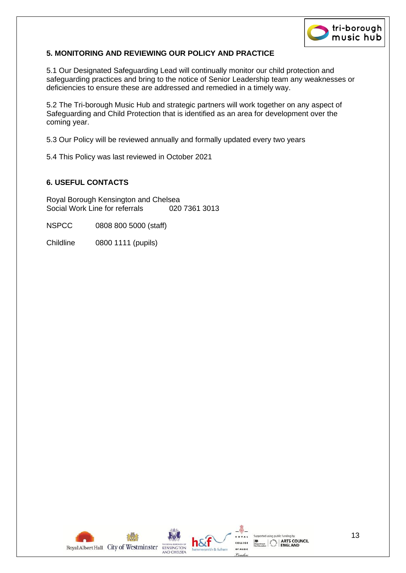

# **5. MONITORING AND REVIEWING OUR POLICY AND PRACTICE**

5.1 Our Designated Safeguarding Lead will continually monitor our child protection and safeguarding practices and bring to the notice of Senior Leadership team any weaknesses or deficiencies to ensure these are addressed and remedied in a timely way.

5.2 The Tri-borough Music Hub and strategic partners will work together on any aspect of Safeguarding and Child Protection that is identified as an area for development over the coming year.

5.3 Our Policy will be reviewed annually and formally updated every two years

5.4 This Policy was last reviewed in October 2021

# **6. USEFUL CONTACTS**

Royal Borough Kensington and Chelsea Social Work Line for referrals 020 7361 3013

NSPCC 0808 800 5000 (staff)

Childline 0800 1111 (pupils)